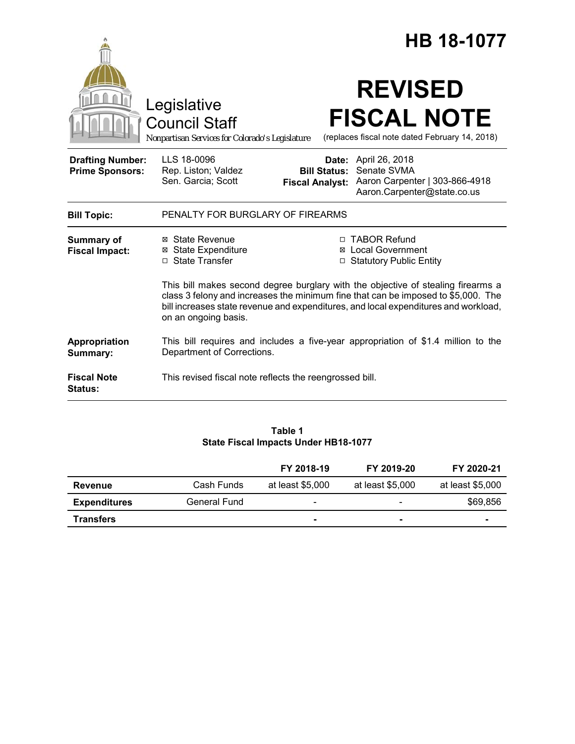|                                                   |                                                                                                                                                                                                                                                                                      |                              |                                                                          | <b>HB 18-1077</b>                                                    |
|---------------------------------------------------|--------------------------------------------------------------------------------------------------------------------------------------------------------------------------------------------------------------------------------------------------------------------------------------|------------------------------|--------------------------------------------------------------------------|----------------------------------------------------------------------|
|                                                   | Legislative<br><b>Council Staff</b><br>Nonpartisan Services for Colorado's Legislature                                                                                                                                                                                               |                              | <b>REVISED</b>                                                           | <b>FISCAL NOTE</b><br>(replaces fiscal note dated February 14, 2018) |
| <b>Drafting Number:</b><br><b>Prime Sponsors:</b> | LLS 18-0096<br>Rep. Liston; Valdez<br>Sen. Garcia: Scott<br><b>Fiscal Analyst:</b>                                                                                                                                                                                                   | Date:<br><b>Bill Status:</b> | April 26, 2018<br>Senate SVMA<br>Aaron.Carpenter@state.co.us             | Aaron Carpenter   303-866-4918                                       |
| <b>Bill Topic:</b>                                | PENALTY FOR BURGLARY OF FIREARMS                                                                                                                                                                                                                                                     |                              |                                                                          |                                                                      |
| Summary of<br><b>Fiscal Impact:</b>               | ⊠ State Revenue<br><b>⊠</b> State Expenditure<br>□ State Transfer                                                                                                                                                                                                                    |                              | □ TABOR Refund<br><b>⊠</b> Local Government<br>□ Statutory Public Entity |                                                                      |
|                                                   | This bill makes second degree burglary with the objective of stealing firearms a<br>class 3 felony and increases the minimum fine that can be imposed to \$5,000. The<br>bill increases state revenue and expenditures, and local expenditures and workload,<br>on an ongoing basis. |                              |                                                                          |                                                                      |
| Appropriation<br>Summary:                         | This bill requires and includes a five-year appropriation of \$1.4 million to the<br>Department of Corrections.                                                                                                                                                                      |                              |                                                                          |                                                                      |
| <b>Fiscal Note</b><br>Status:                     | This revised fiscal note reflects the reengrossed bill.                                                                                                                                                                                                                              |                              |                                                                          |                                                                      |

## **Table 1 State Fiscal Impacts Under HB18-1077**

|                     |              | FY 2018-19               | FY 2019-20       | FY 2020-21               |
|---------------------|--------------|--------------------------|------------------|--------------------------|
| Revenue             | Cash Funds   | at least \$5,000         | at least \$5,000 | at least \$5,000         |
| <b>Expenditures</b> | General Fund | $\overline{\phantom{a}}$ | $\qquad \qquad$  | \$69,856                 |
| Transfers           |              |                          |                  | $\overline{\phantom{a}}$ |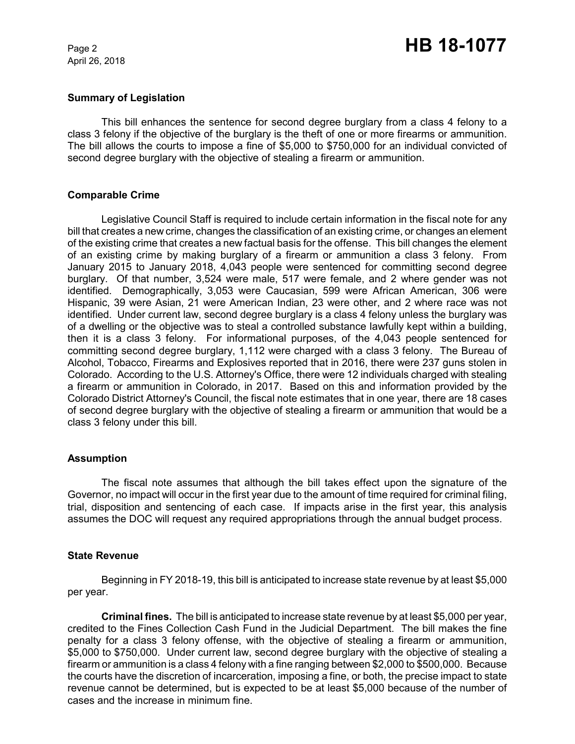April 26, 2018

## **Summary of Legislation**

This bill enhances the sentence for second degree burglary from a class 4 felony to a class 3 felony if the objective of the burglary is the theft of one or more firearms or ammunition. The bill allows the courts to impose a fine of \$5,000 to \$750,000 for an individual convicted of second degree burglary with the objective of stealing a firearm or ammunition.

## **Comparable Crime**

Legislative Council Staff is required to include certain information in the fiscal note for any bill that creates a new crime, changes the classification of an existing crime, or changes an element of the existing crime that creates a new factual basis for the offense. This bill changes the element of an existing crime by making burglary of a firearm or ammunition a class 3 felony. From January 2015 to January 2018, 4,043 people were sentenced for committing second degree burglary. Of that number, 3,524 were male, 517 were female, and 2 where gender was not identified. Demographically, 3,053 were Caucasian, 599 were African American, 306 were Hispanic, 39 were Asian, 21 were American Indian, 23 were other, and 2 where race was not identified. Under current law, second degree burglary is a class 4 felony unless the burglary was of a dwelling or the objective was to steal a controlled substance lawfully kept within a building, then it is a class 3 felony. For informational purposes, of the 4,043 people sentenced for committing second degree burglary, 1,112 were charged with a class 3 felony. The Bureau of Alcohol, Tobacco, Firearms and Explosives reported that in 2016, there were 237 guns stolen in Colorado. According to the U.S. Attorney's Office, there were 12 individuals charged with stealing a firearm or ammunition in Colorado, in 2017. Based on this and information provided by the Colorado District Attorney's Council, the fiscal note estimates that in one year, there are 18 cases of second degree burglary with the objective of stealing a firearm or ammunition that would be a class 3 felony under this bill.

# **Assumption**

The fiscal note assumes that although the bill takes effect upon the signature of the Governor, no impact will occur in the first year due to the amount of time required for criminal filing, trial, disposition and sentencing of each case. If impacts arise in the first year, this analysis assumes the DOC will request any required appropriations through the annual budget process.

### **State Revenue**

Beginning in FY 2018-19, this bill is anticipated to increase state revenue by at least \$5,000 per year.

**Criminal fines.** The bill is anticipated to increase state revenue by at least \$5,000 per year, credited to the Fines Collection Cash Fund in the Judicial Department. The bill makes the fine penalty for a class 3 felony offense, with the objective of stealing a firearm or ammunition, \$5,000 to \$750,000. Under current law, second degree burglary with the objective of stealing a firearm or ammunition is a class 4 felony with a fine ranging between \$2,000 to \$500,000. Because the courts have the discretion of incarceration, imposing a fine, or both, the precise impact to state revenue cannot be determined, but is expected to be at least \$5,000 because of the number of cases and the increase in minimum fine.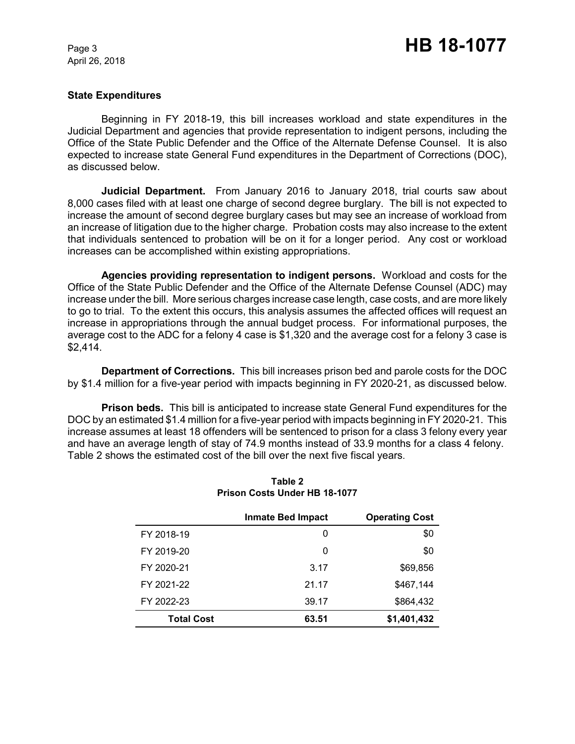April 26, 2018

## **State Expenditures**

Beginning in FY 2018-19, this bill increases workload and state expenditures in the Judicial Department and agencies that provide representation to indigent persons, including the Office of the State Public Defender and the Office of the Alternate Defense Counsel. It is also expected to increase state General Fund expenditures in the Department of Corrections (DOC), as discussed below.

**Judicial Department.** From January 2016 to January 2018, trial courts saw about 8,000 cases filed with at least one charge of second degree burglary. The bill is not expected to increase the amount of second degree burglary cases but may see an increase of workload from an increase of litigation due to the higher charge. Probation costs may also increase to the extent that individuals sentenced to probation will be on it for a longer period. Any cost or workload increases can be accomplished within existing appropriations.

**Agencies providing representation to indigent persons.** Workload and costs for the Office of the State Public Defender and the Office of the Alternate Defense Counsel (ADC) may increase under the bill. More serious charges increase case length, case costs, and are more likely to go to trial. To the extent this occurs, this analysis assumes the affected offices will request an increase in appropriations through the annual budget process. For informational purposes, the average cost to the ADC for a felony 4 case is \$1,320 and the average cost for a felony 3 case is \$2,414.

**Department of Corrections.** This bill increases prison bed and parole costs for the DOC by \$1.4 million for a five-year period with impacts beginning in FY 2020-21, as discussed below.

**Prison beds.**This bill is anticipated to increase state General Fund expenditures for the DOC by an estimated \$1.4 million for a five-year period with impacts beginning in FY 2020-21. This increase assumes at least 18 offenders will be sentenced to prison for a class 3 felony every year and have an average length of stay of 74.9 months instead of 33.9 months for a class 4 felony. Table 2 shows the estimated cost of the bill over the next five fiscal years.

|                   | <b>Inmate Bed Impact</b> | <b>Operating Cost</b> |
|-------------------|--------------------------|-----------------------|
| FY 2018-19        | 0                        | \$0                   |
| FY 2019-20        | 0                        | \$0                   |
| FY 2020-21        | 3.17                     | \$69,856              |
| FY 2021-22        | 21.17                    | \$467,144             |
| FY 2022-23        | 39.17                    | \$864,432             |
| <b>Total Cost</b> | 63.51                    | \$1,401,432           |

## **Table 2 Prison Costs Under HB 18-1077**